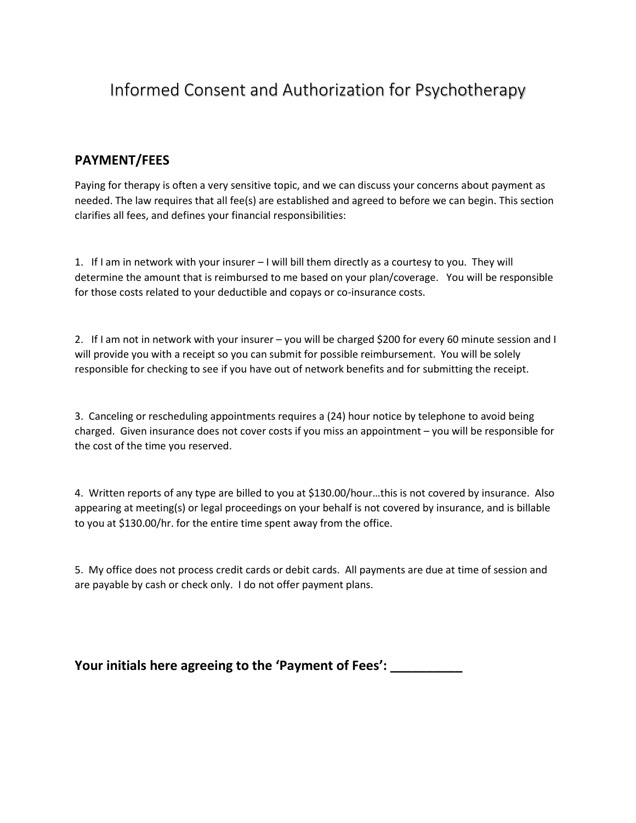# Informed Consent and Authorization for Psychotherapy

## **PAYMENT/FEES**

Paying for therapy is often a very sensitive topic, and we can discuss your concerns about payment as needed. The law requires that all fee(s) are established and agreed to before we can begin. This section clarifies all fees, and defines your financial responsibilities:

1. If I am in network with your insurer – I will bill them directly as a courtesy to you. They will determine the amount that is reimbursed to me based on your plan/coverage. You will be responsible for those costs related to your deductible and copays or co-insurance costs.

2. If I am not in network with your insurer – you will be charged \$200 for every 60 minute session and I will provide you with a receipt so you can submit for possible reimbursement. You will be solely responsible for checking to see if you have out of network benefits and for submitting the receipt.

3. Canceling or rescheduling appointments requires a (24) hour notice by telephone to avoid being charged. Given insurance does not cover costs if you miss an appointment – you will be responsible for the cost of the time you reserved.

4. Written reports of any type are billed to you at \$130.00/hour…this is not covered by insurance. Also appearing at meeting(s) or legal proceedings on your behalf is not covered by insurance, and is billable to you at \$130.00/hr. for the entire time spent away from the office.

5. My office does not process credit cards or debit cards. All payments are due at time of session and are payable by cash or check only. I do not offer payment plans.

**Your initials here agreeing to the 'Payment of Fees': \_\_\_\_\_\_\_\_\_\_**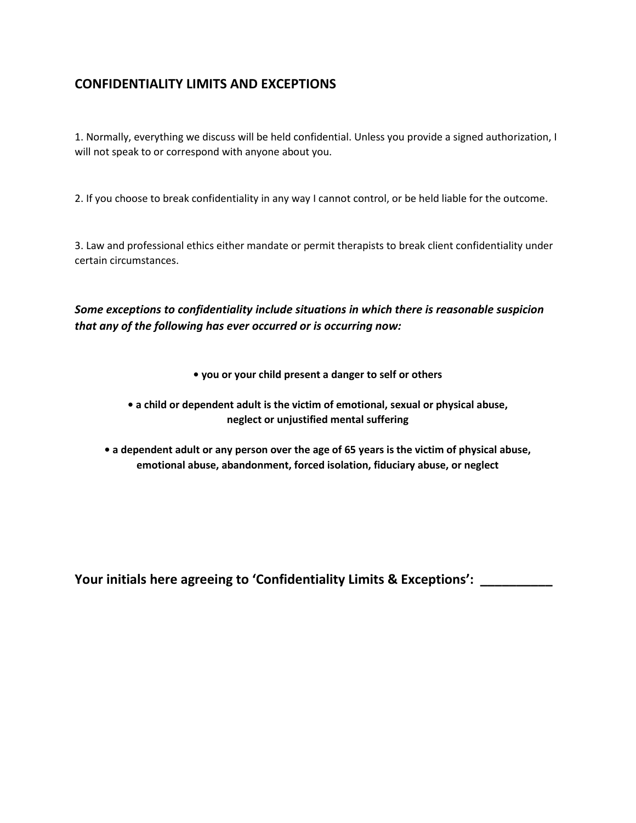## **CONFIDENTIALITY LIMITS AND EXCEPTIONS**

1. Normally, everything we discuss will be held confidential. Unless you provide a signed authorization, I will not speak to or correspond with anyone about you.

2. If you choose to break confidentiality in any way I cannot control, or be held liable for the outcome.

3. Law and professional ethics either mandate or permit therapists to break client confidentiality under certain circumstances.

*Some exceptions to confidentiality include situations in which there is reasonable suspicion that any of the following has ever occurred or is occurring now:*

- **you or your child present a danger to self or others**
- **a child or dependent adult is the victim of emotional, sexual or physical abuse, neglect or unjustified mental suffering**
- **a dependent adult or any person over the age of 65 years is the victim of physical abuse, emotional abuse, abandonment, forced isolation, fiduciary abuse, or neglect**

**Your initials here agreeing to 'Confidentiality Limits & Exceptions': \_\_\_\_\_\_\_\_\_\_**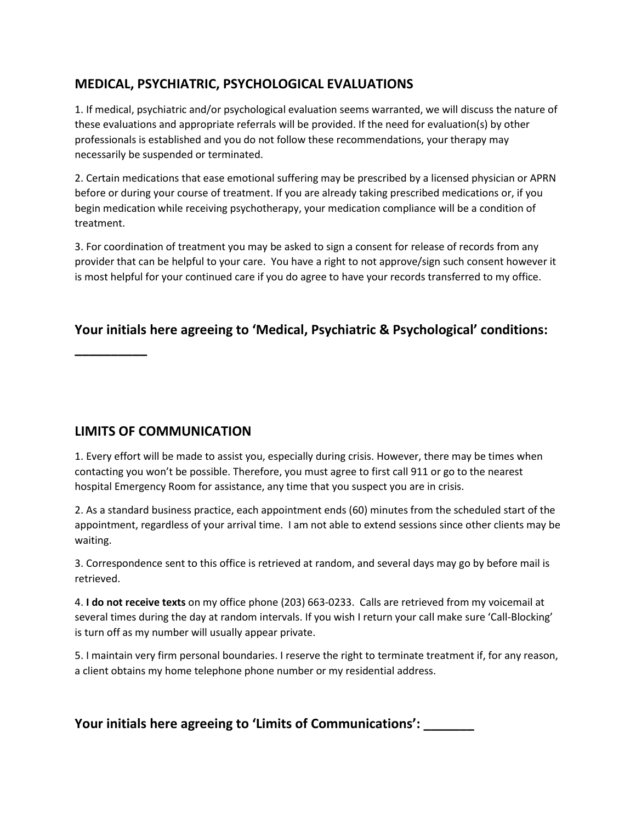## **MEDICAL, PSYCHIATRIC, PSYCHOLOGICAL EVALUATIONS**

1. If medical, psychiatric and/or psychological evaluation seems warranted, we will discuss the nature of these evaluations and appropriate referrals will be provided. If the need for evaluation(s) by other professionals is established and you do not follow these recommendations, your therapy may necessarily be suspended or terminated.

2. Certain medications that ease emotional suffering may be prescribed by a licensed physician or APRN before or during your course of treatment. If you are already taking prescribed medications or, if you begin medication while receiving psychotherapy, your medication compliance will be a condition of treatment.

3. For coordination of treatment you may be asked to sign a consent for release of records from any provider that can be helpful to your care. You have a right to not approve/sign such consent however it is most helpful for your continued care if you do agree to have your records transferred to my office.

## **Your initials here agreeing to 'Medical, Psychiatric & Psychological' conditions:**

### **LIMITS OF COMMUNICATION**

**\_\_\_\_\_\_\_\_\_\_**

1. Every effort will be made to assist you, especially during crisis. However, there may be times when contacting you won't be possible. Therefore, you must agree to first call 911 or go to the nearest hospital Emergency Room for assistance, any time that you suspect you are in crisis.

2. As a standard business practice, each appointment ends (60) minutes from the scheduled start of the appointment, regardless of your arrival time. I am not able to extend sessions since other clients may be waiting.

3. Correspondence sent to this office is retrieved at random, and several days may go by before mail is retrieved.

4. **I do not receive texts** on my office phone (203) 663-0233. Calls are retrieved from my voicemail at several times during the day at random intervals. If you wish I return your call make sure 'Call-Blocking' is turn off as my number will usually appear private.

5. I maintain very firm personal boundaries. I reserve the right to terminate treatment if, for any reason, a client obtains my home telephone phone number or my residential address.

**Your initials here agreeing to 'Limits of Communications': \_\_\_\_\_\_\_**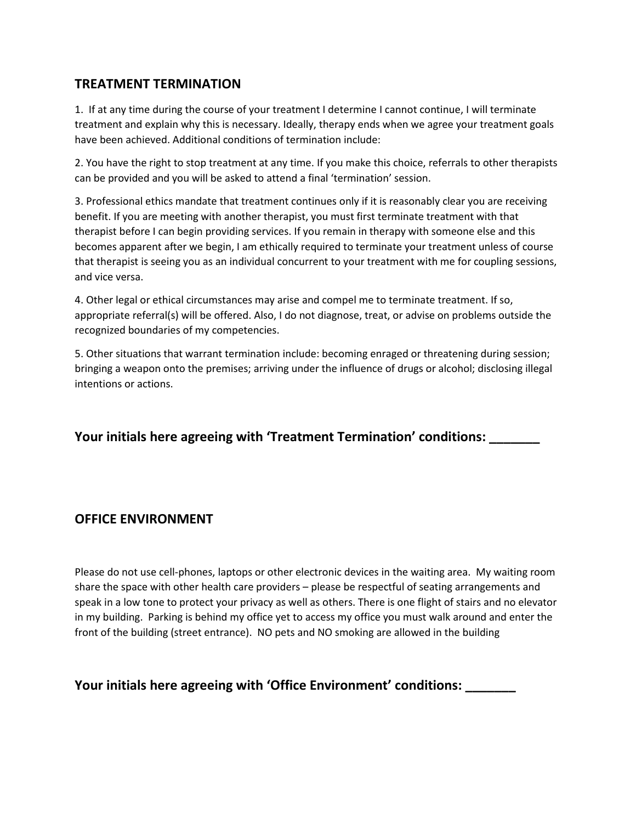### **TREATMENT TERMINATION**

1. If at any time during the course of your treatment I determine I cannot continue, I will terminate treatment and explain why this is necessary. Ideally, therapy ends when we agree your treatment goals have been achieved. Additional conditions of termination include:

2. You have the right to stop treatment at any time. If you make this choice, referrals to other therapists can be provided and you will be asked to attend a final 'termination' session.

3. Professional ethics mandate that treatment continues only if it is reasonably clear you are receiving benefit. If you are meeting with another therapist, you must first terminate treatment with that therapist before I can begin providing services. If you remain in therapy with someone else and this becomes apparent after we begin, I am ethically required to terminate your treatment unless of course that therapist is seeing you as an individual concurrent to your treatment with me for coupling sessions, and vice versa.

4. Other legal or ethical circumstances may arise and compel me to terminate treatment. If so, appropriate referral(s) will be offered. Also, I do not diagnose, treat, or advise on problems outside the recognized boundaries of my competencies.

5. Other situations that warrant termination include: becoming enraged or threatening during session; bringing a weapon onto the premises; arriving under the influence of drugs or alcohol; disclosing illegal intentions or actions.

**Your initials here agreeing with 'Treatment Termination' conditions: \_\_\_\_\_\_\_**

#### **OFFICE ENVIRONMENT**

Please do not use cell-phones, laptops or other electronic devices in the waiting area. My waiting room share the space with other health care providers – please be respectful of seating arrangements and speak in a low tone to protect your privacy as well as others. There is one flight of stairs and no elevator in my building. Parking is behind my office yet to access my office you must walk around and enter the front of the building (street entrance). NO pets and NO smoking are allowed in the building

**Your initials here agreeing with 'Office Environment' conditions: \_\_\_\_\_\_\_**